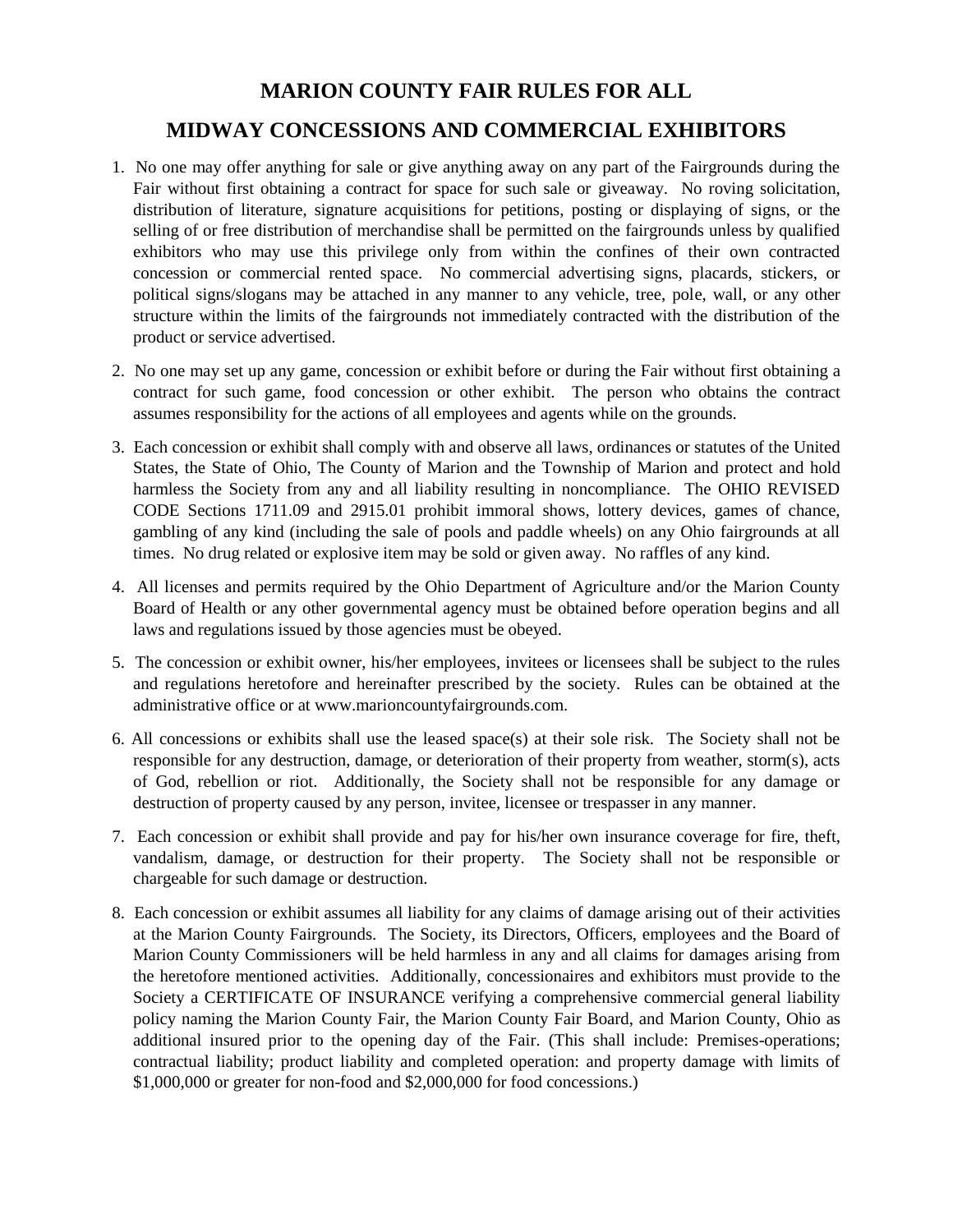## **MARION COUNTY FAIR RULES FOR ALL**

## **MIDWAY CONCESSIONS AND COMMERCIAL EXHIBITORS**

- 1. No one may offer anything for sale or give anything away on any part of the Fairgrounds during the Fair without first obtaining a contract for space for such sale or giveaway. No roving solicitation, distribution of literature, signature acquisitions for petitions, posting or displaying of signs, or the selling of or free distribution of merchandise shall be permitted on the fairgrounds unless by qualified exhibitors who may use this privilege only from within the confines of their own contracted concession or commercial rented space. No commercial advertising signs, placards, stickers, or political signs/slogans may be attached in any manner to any vehicle, tree, pole, wall, or any other structure within the limits of the fairgrounds not immediately contracted with the distribution of the product or service advertised.
- 2. No one may set up any game, concession or exhibit before or during the Fair without first obtaining a contract for such game, food concession or other exhibit. The person who obtains the contract assumes responsibility for the actions of all employees and agents while on the grounds.
- 3. Each concession or exhibit shall comply with and observe all laws, ordinances or statutes of the United States, the State of Ohio, The County of Marion and the Township of Marion and protect and hold harmless the Society from any and all liability resulting in noncompliance. The OHIO REVISED CODE Sections 1711.09 and 2915.01 prohibit immoral shows, lottery devices, games of chance, gambling of any kind (including the sale of pools and paddle wheels) on any Ohio fairgrounds at all times. No drug related or explosive item may be sold or given away. No raffles of any kind.
- 4. All licenses and permits required by the Ohio Department of Agriculture and/or the Marion County Board of Health or any other governmental agency must be obtained before operation begins and all laws and regulations issued by those agencies must be obeyed.
- 5. The concession or exhibit owner, his/her employees, invitees or licensees shall be subject to the rules and regulations heretofore and hereinafter prescribed by the society. Rules can be obtained at the administrative office or at www.marioncountyfairgrounds.com.
- 6. All concessions or exhibits shall use the leased space(s) at their sole risk. The Society shall not be responsible for any destruction, damage, or deterioration of their property from weather, storm(s), acts of God, rebellion or riot. Additionally, the Society shall not be responsible for any damage or destruction of property caused by any person, invitee, licensee or trespasser in any manner.
- 7. Each concession or exhibit shall provide and pay for his/her own insurance coverage for fire, theft, vandalism, damage, or destruction for their property. The Society shall not be responsible or chargeable for such damage or destruction.
- 8. Each concession or exhibit assumes all liability for any claims of damage arising out of their activities at the Marion County Fairgrounds. The Society, its Directors, Officers, employees and the Board of Marion County Commissioners will be held harmless in any and all claims for damages arising from the heretofore mentioned activities. Additionally, concessionaires and exhibitors must provide to the Society a CERTIFICATE OF INSURANCE verifying a comprehensive commercial general liability policy naming the Marion County Fair, the Marion County Fair Board, and Marion County, Ohio as additional insured prior to the opening day of the Fair. (This shall include: Premises-operations; contractual liability; product liability and completed operation: and property damage with limits of \$1,000,000 or greater for non-food and \$2,000,000 for food concessions.)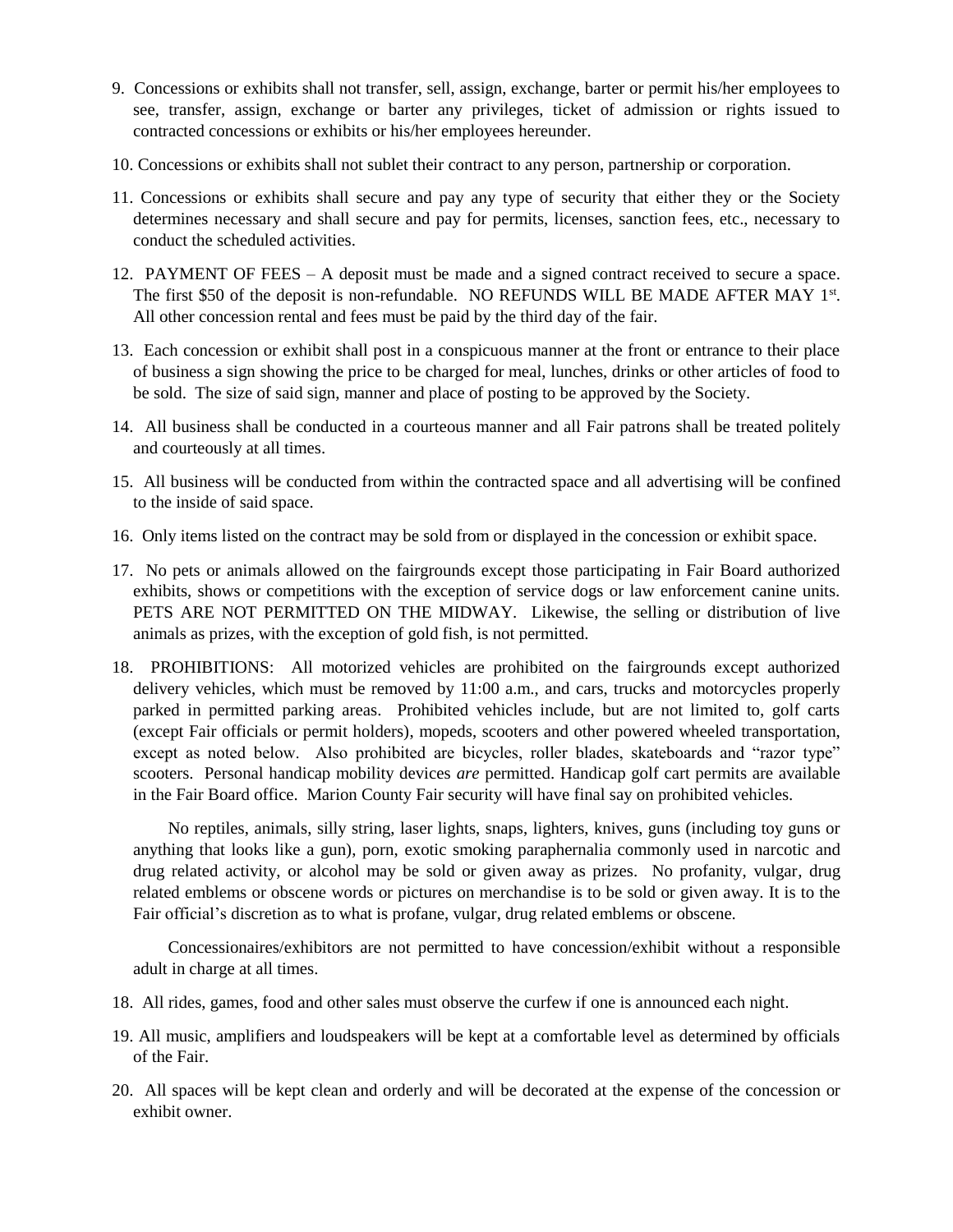- 9. Concessions or exhibits shall not transfer, sell, assign, exchange, barter or permit his/her employees to see, transfer, assign, exchange or barter any privileges, ticket of admission or rights issued to contracted concessions or exhibits or his/her employees hereunder.
- 10. Concessions or exhibits shall not sublet their contract to any person, partnership or corporation.
- 11. Concessions or exhibits shall secure and pay any type of security that either they or the Society determines necessary and shall secure and pay for permits, licenses, sanction fees, etc., necessary to conduct the scheduled activities.
- 12. PAYMENT OF FEES A deposit must be made and a signed contract received to secure a space. The first \$50 of the deposit is non-refundable. NO REFUNDS WILL BE MADE AFTER MAY 1st. All other concession rental and fees must be paid by the third day of the fair.
- 13. Each concession or exhibit shall post in a conspicuous manner at the front or entrance to their place of business a sign showing the price to be charged for meal, lunches, drinks or other articles of food to be sold. The size of said sign, manner and place of posting to be approved by the Society.
- 14. All business shall be conducted in a courteous manner and all Fair patrons shall be treated politely and courteously at all times.
- 15. All business will be conducted from within the contracted space and all advertising will be confined to the inside of said space.
- 16. Only items listed on the contract may be sold from or displayed in the concession or exhibit space.
- 17. No pets or animals allowed on the fairgrounds except those participating in Fair Board authorized exhibits, shows or competitions with the exception of service dogs or law enforcement canine units. PETS ARE NOT PERMITTED ON THE MIDWAY. Likewise, the selling or distribution of live animals as prizes, with the exception of gold fish, is not permitted.
- 18. PROHIBITIONS: All motorized vehicles are prohibited on the fairgrounds except authorized delivery vehicles, which must be removed by 11:00 a.m., and cars, trucks and motorcycles properly parked in permitted parking areas. Prohibited vehicles include, but are not limited to, golf carts (except Fair officials or permit holders), mopeds, scooters and other powered wheeled transportation, except as noted below. Also prohibited are bicycles, roller blades, skateboards and "razor type" scooters. Personal handicap mobility devices *are* permitted. Handicap golf cart permits are available in the Fair Board office. Marion County Fair security will have final say on prohibited vehicles.

No reptiles, animals, silly string, laser lights, snaps, lighters, knives, guns (including toy guns or anything that looks like a gun), porn, exotic smoking paraphernalia commonly used in narcotic and drug related activity, or alcohol may be sold or given away as prizes. No profanity, vulgar, drug related emblems or obscene words or pictures on merchandise is to be sold or given away. It is to the Fair official's discretion as to what is profane, vulgar, drug related emblems or obscene.

Concessionaires/exhibitors are not permitted to have concession/exhibit without a responsible adult in charge at all times.

- 18. All rides, games, food and other sales must observe the curfew if one is announced each night.
- 19. All music, amplifiers and loudspeakers will be kept at a comfortable level as determined by officials of the Fair.
- 20. All spaces will be kept clean and orderly and will be decorated at the expense of the concession or exhibit owner.